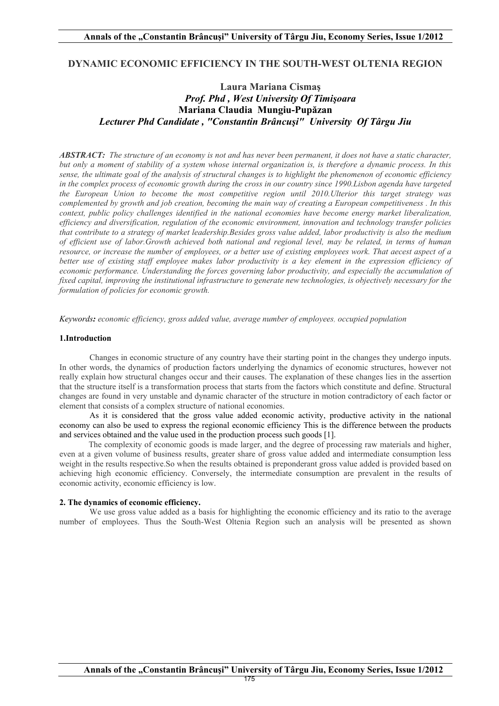### **DYNAMIC ECONOMIC EFFICIENCY IN THE SOUTH-WEST OLTENIA REGION**

# **Laura Mariana Cismaş** *Prof. Phd , West University Of Timişoara* **Mariana Claudia Mungiu-Pupăzan**  *Lecturer Phd Candidate , "Constantin Brâncuşi" University Of Târgu Jiu*

*ABSTRACT: The structure of an economy is not and has never been permanent, it does not have a static character, but only a moment of stability of a system whose internal organization is, is therefore a dynamic process. In this sense, the ultimate goal of the analysis of structural changes is to highlight the phenomenon of economic efficiency in the complex process of economic growth during the cross in our country since 1990.Lisbon agenda have targeted the European Union to become the most competitive region until 2010.Ulterior this target strategy was complemented by growth and job creation, becoming the main way of creating a European competitiveness . In this context, public policy challenges identified in the national economies have become energy market liberalization, efficiency and diversification, regulation of the economic environment, innovation and technology transfer policies that contribute to a strategy of market leadership.Besides gross value added, labor productivity is also the medium of efficient use of labor.Growth achieved both national and regional level, may be related, in terms of human resource, or increase the number of employees, or a better use of existing employees work. That aecest aspect of a*  better use of existing staff employee makes labor productivity is a key element in the expression efficiency of *economic performance. Understanding the forces governing labor productivity, and especially the accumulation of fixed capital, improving the institutional infrastructure to generate new technologies, is objectively necessary for the formulation of policies for economic growth.*

*Keywords: economic efficiency, gross added value, average number of employees, occupied population*

### **1.Introduction**

Changes in economic structure of any country have their starting point in the changes they undergo inputs. In other words, the dynamics of production factors underlying the dynamics of economic structures, however not really explain how structural changes occur and their causes. The explanation of these changes lies in the assertion that the structure itself is a transformation process that starts from the factors which constitute and define. Structural changes are found in very unstable and dynamic character of the structure in motion contradictory of each factor or element that consists of a complex structure of national economies.

As it is considered that the gross value added economic activity, productive activity in the national economy can also be used to express the regional economic efficiency This is the difference between the products and services obtained and the value used in the production process such goods [1].

 The complexity of economic goods is made larger, and the degree of processing raw materials and higher, even at a given volume of business results, greater share of gross value added and intermediate consumption less weight in the results respective.So when the results obtained is preponderant gross value added is provided based on achieving high economic efficiency. Conversely, the intermediate consumption are prevalent in the results of economic activity, economic efficiency is low.

### **2. The dynamics of economic efficiency.**

We use gross value added as a basis for highlighting the economic efficiency and its ratio to the average number of employees. Thus the South-West Oltenia Region such an analysis will be presented as shown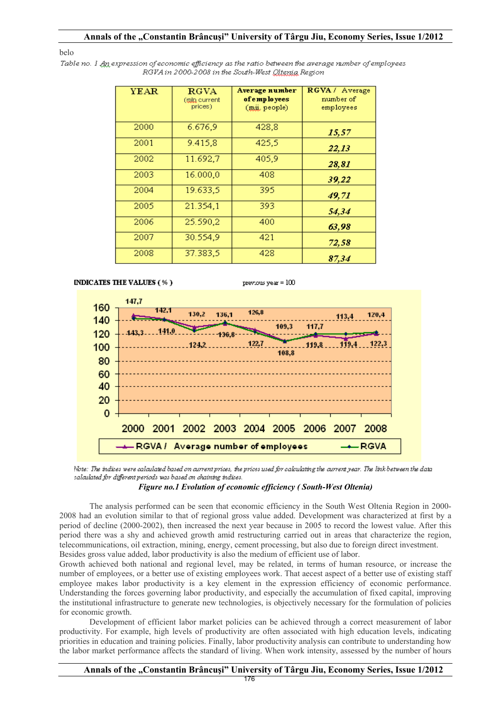#### belo

Table no. 1 An expression of economic efficiency as the ratio between the average number of employees RGVA in 2000-2008 in the South-West Oltenia Region

| YEAR | <b>RGVA</b><br>(tala current<br>prices) | Average number<br>of employees<br>(mii. people) | RGVA / Average<br>number of<br>employees |
|------|-----------------------------------------|-------------------------------------------------|------------------------------------------|
| 2000 | 6.676,9                                 | 428,8                                           | 15,57                                    |
| 2001 | 9.415,8                                 | 425,5                                           | 22,13                                    |
| 2002 | 11.692,7                                | 405,9                                           | 28,81                                    |
| 2003 | 16.000,0                                | 408                                             | 39,22                                    |
| 2004 | 19.633,5                                | 395                                             | 49,71                                    |
| 2005 | 21.354,1                                | 393                                             | 54,34                                    |
| 2006 | 25.590,2                                | 400                                             | 63,98                                    |
| 2007 | 30.554,9                                | 421                                             | 72,58                                    |
| 2008 | 37.383,5                                | 428                                             | 87 34                                    |

**INDICATES THE VALUES (%)**  $prerows$  year =  $100$ 147.7 160 126.8 130.2 136.1 120.4 113.4 140 109.3 117.7 120 100 108.8 80 60 40 20  $\mathbf 0$ 2000 2001 2002 2003 2004 2005 2006 2007 2008 RGVA/ Average number of employees **RGVA** 

Note: The indices were calculated based on current prices, the prices used for calculating the current year. The link between the data salculated for different periods was based on chaining indices.

*Figure no.1 Evolution of economic efficiency ( South-West Oltenia)* 

The analysis performed can be seen that economic efficiency in the South West Oltenia Region in 2000- 2008 had an evolution similar to that of regional gross value added. Development was characterized at first by a period of decline (2000-2002), then increased the next year because in 2005 to record the lowest value. After this period there was a shy and achieved growth amid restructuring carried out in areas that characterize the region, telecommunications, oil extraction, mining, energy, cement processing, but also due to foreign direct investment. Besides gross value added, labor productivity is also the medium of efficient use of labor.

Growth achieved both national and regional level, may be related, in terms of human resource, or increase the number of employees, or a better use of existing employees work. That aecest aspect of a better use of existing staff employee makes labor productivity is a key element in the expression efficiency of economic performance. Understanding the forces governing labor productivity, and especially the accumulation of fixed capital, improving the institutional infrastructure to generate new technologies, is objectively necessary for the formulation of policies for economic growth.

Development of efficient labor market policies can be achieved through a correct measurement of labor productivity. For example, high levels of productivity are often associated with high education levels, indicating priorities in education and training policies. Finally, labor productivity analysis can contribute to understanding how the labor market performance affects the standard of living. When work intensity, assessed by the number of hours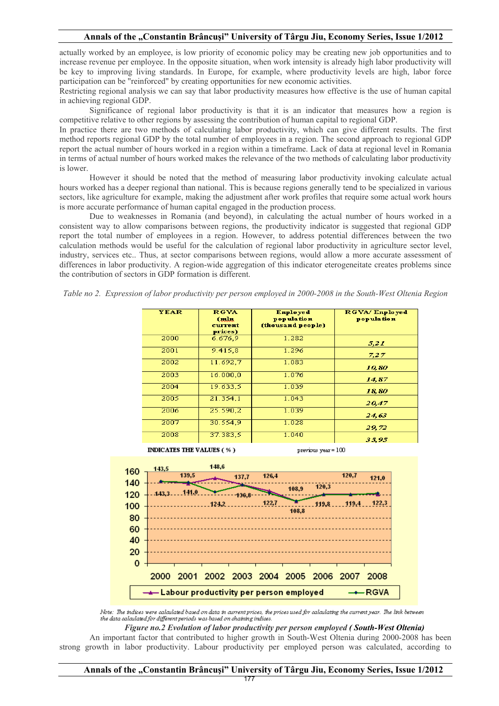actually worked by an employee, is low priority of economic policy may be creating new job opportunities and to increase revenue per employee. In the opposite situation, when work intensity is already high labor productivity will be key to improving living standards. In Europe, for example, where productivity levels are high, labor force participation can be "reinforced" by creating opportunities for new economic activities.

Restricting regional analysis we can say that labor productivity measures how effective is the use of human capital in achieving regional GDP.

Significance of regional labor productivity is that it is an indicator that measures how a region is competitive relative to other regions by assessing the contribution of human capital to regional GDP.

In practice there are two methods of calculating labor productivity, which can give different results. The first method reports regional GDP by the total number of employees in a region. The second approach to regional GDP report the actual number of hours worked in a region within a timeframe. Lack of data at regional level in Romania in terms of actual number of hours worked makes the relevance of the two methods of calculating labor productivity is lower.

However it should be noted that the method of measuring labor productivity invoking calculate actual hours worked has a deeper regional than national. This is because regions generally tend to be specialized in various sectors, like agriculture for example, making the adjustment after work profiles that require some actual work hours is more accurate performance of human capital engaged in the production process.

Due to weaknesses in Romania (and beyond), in calculating the actual number of hours worked in a consistent way to allow comparisons between regions, the productivity indicator is suggested that regional GDP report the total number of employees in a region. However, to address potential differences between the two calculation methods would be useful for the calculation of regional labor productivity in agriculture sector level, industry, services etc.. Thus, at sector comparisons between regions, would allow a more accurate assessment of differences in labor productivity. A region-wide aggregation of this indicator eterogeneitate creates problems since the contribution of sectors in GDP formation is different.

*Table no 2. Expression of labor productivity per person employed in 2000-2008 in the South-West Oltenia Region*

| <b>YEAR</b> | <b>RGVA</b><br>(mln<br>current<br>prices) | <b>Enployed</b><br>population<br>(thousand people) | RGVA/Enployed<br>population |
|-------------|-------------------------------------------|----------------------------------------------------|-----------------------------|
| 2000        | 6.676.9                                   | 1.282                                              | 5,21                        |
| 2001        | 9.415,8                                   | 1.296                                              | 7,27                        |
| 2002        | 11.692,7                                  | 1.083                                              | 10,80                       |
| 2003        | 16.000,0                                  | 1.076                                              | 14.87                       |
| 2004        | 19.633.5                                  | 1.039                                              | 18,80                       |
| 2005        | 21.354,1                                  | 1.043                                              | 20.47                       |
| 2006        | 25.590.2                                  | 1.039                                              | 24,63                       |
| 2007        | 30.554.9                                  | 1.028                                              | 29,72                       |
| 2008        | 37.383.5                                  | 1.040                                              | 35.95                       |

**INDICATES THE VALUES (%)** 

previous year =  $100$ 



Note: The indices were calculated based on data in current prices, the prices used for calculating the current year. The link between the data calculated for different periods was based on chaining indices.

*Figure no.2 Evolution of labor productivity per person employed ( South-West Oltenia)* 

An important factor that contributed to higher growth in South-West Oltenia during 2000-2008 has been strong growth in labor productivity. Labour productivity per employed person was calculated, according to